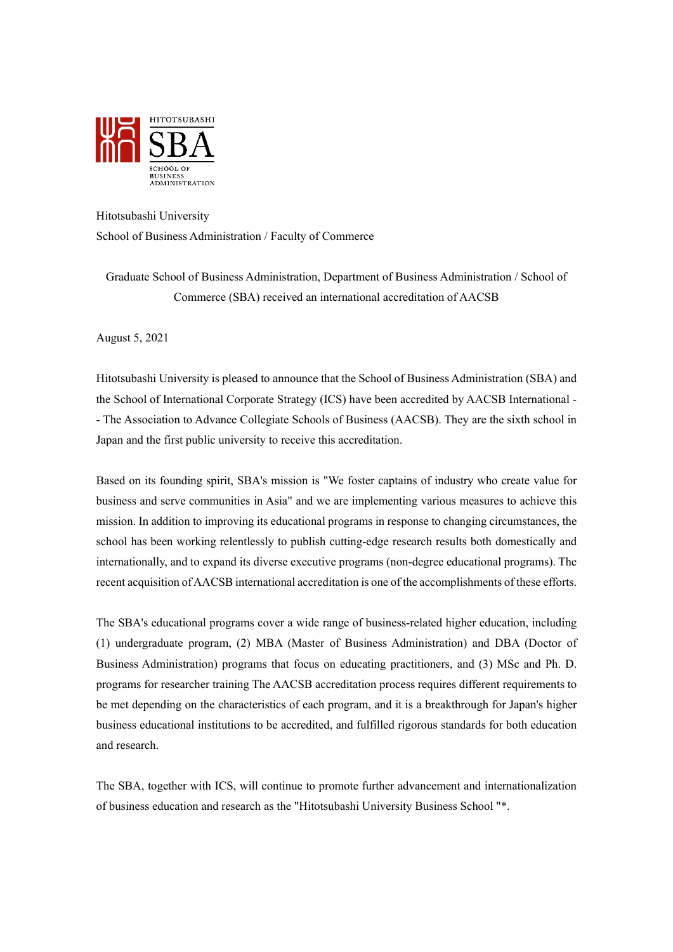

## Hitotsubashi University

School of Business Administration / Faculty of Commerce

Graduate School of Business Administration, Department of Business Administration / School of Commerce (SBA) received an international accreditation of AACSB

August 5, 2021

Hitotsubashi University is pleased to announce that the School of Business Administration (SBA) and the School of International Corporate Strategy (ICS) have been accredited by AACSB International - - The Association to Advance Collegiate Schools of Business (AACSB). They are the sixth school in Japan and the first public university to receive this accreditation.

Based on its founding spirit, SBA's mission is "We foster captains of industry who create value for business and serve communities in Asia" and we are implementing various measures to achieve this mission. In addition to improving its educational programs in response to changing circumstances, the school has been working relentlessly to publish cutting-edge research results both domestically and internationally, and to expand its diverse executive programs (non-degree educational programs). The recent acquisition of AACSB international accreditation is one of the accomplishments of these efforts.

The SBA's educational programs cover a wide range of business-related higher education, including (1) undergraduate program, (2) MBA (Master of Business Administration) and DBA (Doctor of Business Administration) programs that focus on educating practitioners, and (3) MSc and Ph. D. programs for researcher training The AACSB accreditation process requires different requirements to be met depending on the characteristics of each program, and it is a breakthrough for Japan's higher business educational institutions to be accredited, and fulfilled rigorous standards for both education and research.

The SBA, together with ICS, will continue to promote further advancement and internationalization of business education and research as the "Hitotsubashi University Business School "\*.